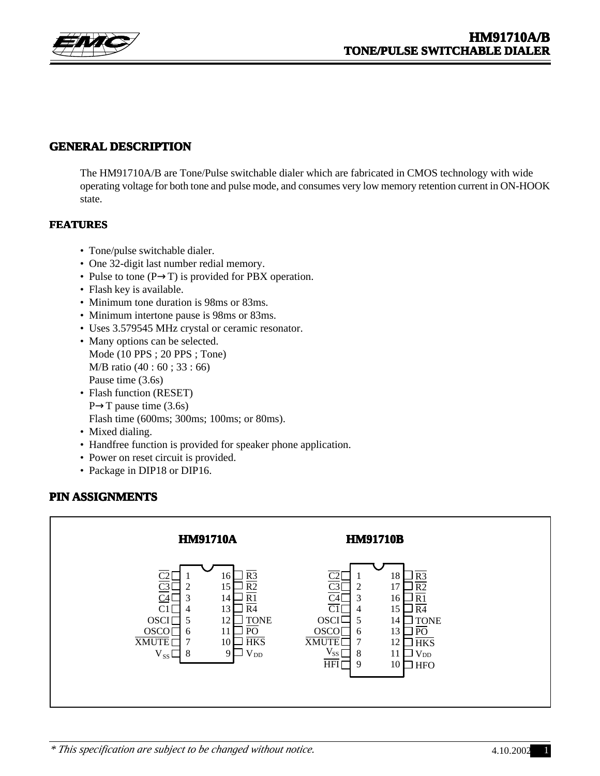

### **GENERAL DESCRIPTION**

The HM91710A/B are Tone/Pulse switchable dialer which are fabricated in CMOS technology with wide operating voltage for both tone and pulse mode, and consumes very low memory retention current in ON-HOOK state.

#### **FEATURES**

- Tone/pulse switchable dialer.
- One 32-digit last number redial memory.
- Pulse to tone  $(P \rightarrow T)$  is provided for PBX operation.
- Flash key is available.
- Minimum tone duration is 98ms or 83ms.
- Minimum intertone pause is 98ms or 83ms.
- Uses 3.579545 MHz crystal or ceramic resonator.
- Many options can be selected. Mode (10 PPS ; 20 PPS ; Tone) M/B ratio (40 : 60 ; 33 : 66) Pause time (3.6s)
- Flash function (RESET)  $P \rightarrow T$  pause time (3.6s) Flash time (600ms; 300ms; 100ms; or 80ms).
- Mixed dialing.
- Handfree function is provided for speaker phone application.
- Power on reset circuit is provided.
- Package in DIP18 or DIP16.

### **PIN ASSIGNMENTS**

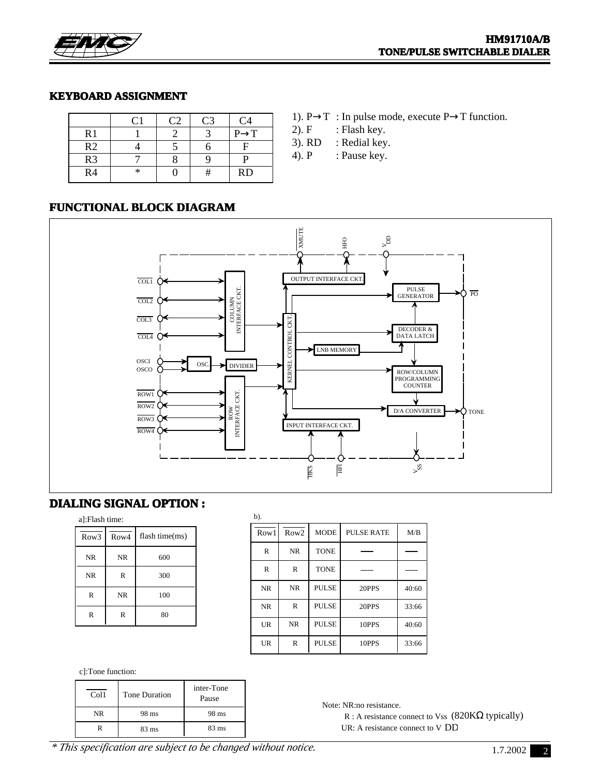

#### **KEYBOARD ASSIGNMENT**

| $\mathsf{C}1$ | C <sub>2</sub> | C <sub>3</sub> | C4                |
|---------------|----------------|----------------|-------------------|
|               |                |                | $P \rightarrow T$ |
|               |                |                | F                 |
|               |                |                | D                 |
| $\ast$        |                |                | <b>RD</b>         |
|               |                |                |                   |

- 1).  $P \rightarrow T$ : In pulse mode, execute  $P \rightarrow T$  function.
- 2).  $F$  : Flash key.
- 3). RD : Redial key.
- 4). P : Pause key.

#### **FUNCTIONAL BLOCK DIAGRAM**



## **DIALING SIGNAL OPTION : DIALING OPTION :**

| a]:Flash time:   |              |                |  |  |  |  |
|------------------|--------------|----------------|--|--|--|--|
| Row <sub>3</sub> | Row4         | flash time(ms) |  |  |  |  |
| <b>NR</b>        | <b>NR</b>    | 600            |  |  |  |  |
| <b>NR</b>        | $\mathbb{R}$ | 300            |  |  |  |  |
| R                | <b>NR</b>    | 100            |  |  |  |  |
| R                | R            | 80             |  |  |  |  |

| b).       |                  |              |            |       |
|-----------|------------------|--------------|------------|-------|
| Row1      | Row <sub>2</sub> | <b>MODE</b>  | PULSE RATE | M/B   |
| R         | <b>NR</b>        | <b>TONE</b>  |            |       |
| R         | R                | <b>TONE</b>  |            |       |
| <b>NR</b> | <b>NR</b>        | <b>PULSE</b> | 20PPS      | 40:60 |
| <b>NR</b> | R                | <b>PULSE</b> | 20PPS      | 33:66 |
| <b>UR</b> | <b>NR</b>        | <b>PULSE</b> | 10PPS      | 40:60 |
| UR        | R                | <b>PULSE</b> | 10PPS      | 33:66 |

c]:Tone function:

| Col1      | <b>Tone Duration</b> | inter-Tone<br>Pause |
|-----------|----------------------|---------------------|
| <b>NR</b> | 98 ms                | 98 ms               |
|           | 83 ms                | $83 \text{ ms}$     |

Note: NR:no resistance.

R : A resistance connect to Vss  $(820K\Omega)$  typically) UR: A resistance connect to V DD

*\* This specification are subject to be changed without notice.*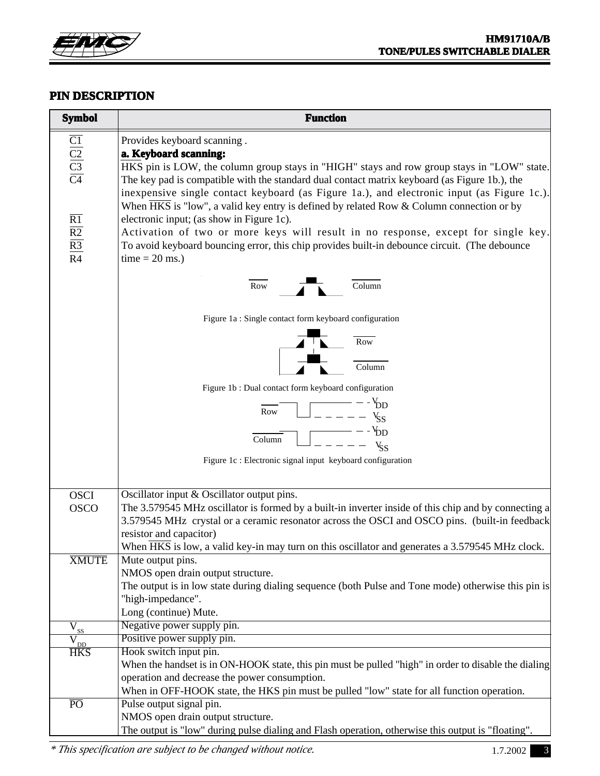

## **PIN DESCRIPTION**

| <b>Symbol</b>                                                                                                                                          | <b>Function</b>                                                                                                                                                                                                                                                                                                                                                                                                                                                                                                                                                                                                                                                                                      |
|--------------------------------------------------------------------------------------------------------------------------------------------------------|------------------------------------------------------------------------------------------------------------------------------------------------------------------------------------------------------------------------------------------------------------------------------------------------------------------------------------------------------------------------------------------------------------------------------------------------------------------------------------------------------------------------------------------------------------------------------------------------------------------------------------------------------------------------------------------------------|
| $\frac{\overline{C1}}{\overline{C2}}$ $\frac{\overline{C3}}{\overline{C4}}$<br>$\overline{R1}$<br>$\overline{R2}$<br>$\overline{R3}$<br>R <sub>4</sub> | Provides keyboard scanning.<br>a. Keyboard scanning:<br>HKS pin is LOW, the column group stays in "HIGH" stays and row group stays in "LOW" state.<br>The key pad is compatible with the standard dual contact matrix keyboard (as Figure 1b.), the<br>inexpensive single contact keyboard (as Figure 1a.), and electronic input (as Figure 1c.).<br>When HKS is "low", a valid key entry is defined by related Row & Column connection or by<br>electronic input; (as show in Figure 1c).<br>Activation of two or more keys will result in no response, except for single key.<br>To avoid keyboard bouncing error, this chip provides built-in debounce circuit. (The debounce<br>$time = 20$ ms.) |
|                                                                                                                                                        | Column<br>Row                                                                                                                                                                                                                                                                                                                                                                                                                                                                                                                                                                                                                                                                                        |
|                                                                                                                                                        | Figure 1a: Single contact form keyboard configuration                                                                                                                                                                                                                                                                                                                                                                                                                                                                                                                                                                                                                                                |
|                                                                                                                                                        | Row<br>Column                                                                                                                                                                                                                                                                                                                                                                                                                                                                                                                                                                                                                                                                                        |
|                                                                                                                                                        | Figure 1b: Dual contact form keyboard configuration                                                                                                                                                                                                                                                                                                                                                                                                                                                                                                                                                                                                                                                  |
|                                                                                                                                                        |                                                                                                                                                                                                                                                                                                                                                                                                                                                                                                                                                                                                                                                                                                      |
|                                                                                                                                                        | $\frac{V_{DD}}{V_{S}} = - - - \frac{V_{SD}}{S}$<br>Row                                                                                                                                                                                                                                                                                                                                                                                                                                                                                                                                                                                                                                               |
|                                                                                                                                                        | $-V_{DD}$<br>Column                                                                                                                                                                                                                                                                                                                                                                                                                                                                                                                                                                                                                                                                                  |
|                                                                                                                                                        | $ V_{\rm sc}$                                                                                                                                                                                                                                                                                                                                                                                                                                                                                                                                                                                                                                                                                        |
|                                                                                                                                                        | Figure 1c : Electronic signal input keyboard configuration                                                                                                                                                                                                                                                                                                                                                                                                                                                                                                                                                                                                                                           |
| <b>OSCI</b><br><b>OSCO</b>                                                                                                                             | Oscillator input & Oscillator output pins.<br>The 3.579545 MHz oscillator is formed by a built-in inverter inside of this chip and by connecting a<br>3.579545 MHz crystal or a ceramic resonator across the OSCI and OSCO pins. (built-in feedback<br>resistor and capacitor)<br>When HKS is low, a valid key-in may turn on this oscillator and generates a 3.579545 MHz clock.                                                                                                                                                                                                                                                                                                                    |
| <b>XMUTE</b>                                                                                                                                           | Mute output pins.                                                                                                                                                                                                                                                                                                                                                                                                                                                                                                                                                                                                                                                                                    |
|                                                                                                                                                        | NMOS open drain output structure.<br>The output is in low state during dialing sequence (both Pulse and Tone mode) otherwise this pin is                                                                                                                                                                                                                                                                                                                                                                                                                                                                                                                                                             |
|                                                                                                                                                        | "high-impedance".                                                                                                                                                                                                                                                                                                                                                                                                                                                                                                                                                                                                                                                                                    |
|                                                                                                                                                        | Long (continue) Mute.                                                                                                                                                                                                                                                                                                                                                                                                                                                                                                                                                                                                                                                                                |
| $\overline{V}_{\underline{ss}}$                                                                                                                        | Negative power supply pin.                                                                                                                                                                                                                                                                                                                                                                                                                                                                                                                                                                                                                                                                           |
| $\overline{V}_{\underline{\underline{D}\underline{D}}}$<br><b>HKS</b>                                                                                  | Positive power supply pin.<br>Hook switch input pin.                                                                                                                                                                                                                                                                                                                                                                                                                                                                                                                                                                                                                                                 |
|                                                                                                                                                        | When the handset is in ON-HOOK state, this pin must be pulled "high" in order to disable the dialing                                                                                                                                                                                                                                                                                                                                                                                                                                                                                                                                                                                                 |
|                                                                                                                                                        | operation and decrease the power consumption.                                                                                                                                                                                                                                                                                                                                                                                                                                                                                                                                                                                                                                                        |
| $\overline{PO}$                                                                                                                                        | When in OFF-HOOK state, the HKS pin must be pulled "low" state for all function operation.<br>Pulse output signal pin.                                                                                                                                                                                                                                                                                                                                                                                                                                                                                                                                                                               |
|                                                                                                                                                        | NMOS open drain output structure.                                                                                                                                                                                                                                                                                                                                                                                                                                                                                                                                                                                                                                                                    |
|                                                                                                                                                        | The output is "low" during pulse dialing and Flash operation, otherwise this output is "floating".                                                                                                                                                                                                                                                                                                                                                                                                                                                                                                                                                                                                   |

*\* This specification are subject to be changed without notice.* 1.7.2002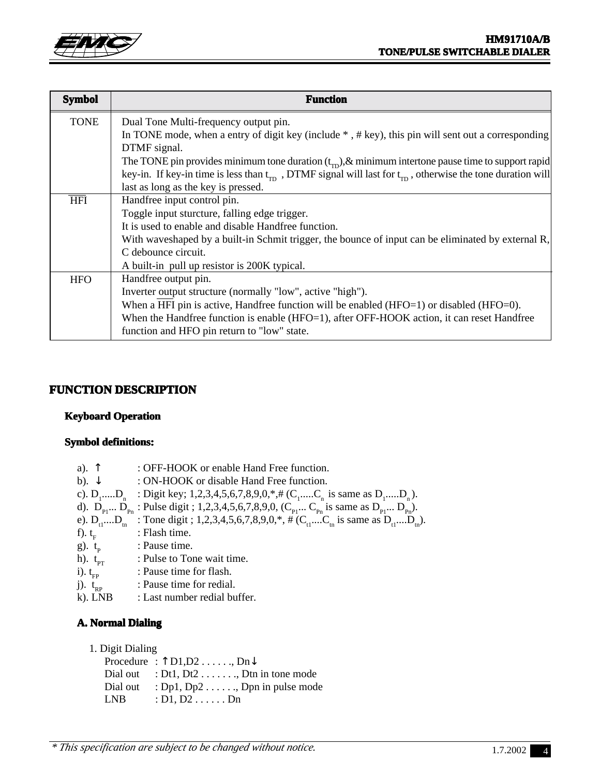

| <b>Symbol</b> | <b>Function</b>                                                                                                            |
|---------------|----------------------------------------------------------------------------------------------------------------------------|
| <b>TONE</b>   | Dual Tone Multi-frequency output pin.                                                                                      |
|               | In TONE mode, when a entry of digit key (include $*$ , $# \text{key}$ ), this pin will sent out a corresponding            |
|               | DTMF signal.                                                                                                               |
|               | The TONE pin provides minimum tone duration $(t_{\rm m})$ , & minimum intertone pause time to support rapid                |
|               | key-in. If key-in time is less than $t_{\rm m}$ , DTMF signal will last for $t_{\rm m}$ , otherwise the tone duration will |
|               | last as long as the key is pressed.                                                                                        |
| <b>HFI</b>    | Handfree input control pin.                                                                                                |
|               | Toggle input sturcture, falling edge trigger.                                                                              |
|               | It is used to enable and disable Handfree function.                                                                        |
|               | With waveshaped by a built-in Schmit trigger, the bounce of input can be eliminated by external R,                         |
|               | C debounce circuit.                                                                                                        |
|               | A built-in pull up resistor is 200K typical.                                                                               |
| <b>HFO</b>    | Handfree output pin.                                                                                                       |
|               | Inverter output structure (normally "low", active "high").                                                                 |
|               | When a HFI pin is active, Handfree function will be enabled (HFO=1) or disabled (HFO=0).                                   |
|               | When the Handfree function is enable (HFO=1), after OFF-HOOK action, it can reset Handfree                                 |
|               | function and HFO pin return to "low" state.                                                                                |

## **FUNCTION DESCRIPTION**

#### **Keyboard Operation**

#### **Symbol definitions:**

| a). $\uparrow$         | : OFF-HOOK or enable Hand Free function.                                                                                                          |
|------------------------|---------------------------------------------------------------------------------------------------------------------------------------------------|
| b). $\downarrow$       | : ON-HOOK or disable Hand Free function.                                                                                                          |
|                        | c). D <sub>1</sub> D <sub>n</sub> : Digit key; 1,2,3,4,5,6,7,8,9,0,*,# (C <sub>1</sub> C <sub>n</sub> is same as D <sub>1</sub> D <sub>n</sub> ). |
|                        | d). $D_{p_1} D_{p_n}$ : Pulse digit; 1,2,3,4,5,6,7,8,9,0, ( $C_{p_1} C_{p_n}$ is same as $D_{p_1} D_{p_n}$ ).                                     |
|                        | e). $D_{1}$ , $D_{1}$ : Tone digit; 1,2,3,4,5,6,7,8,9,0,*, # (C <sub>1</sub> ,C <sub>1</sub> is same as $D_{1}$ ,D <sub>1</sub> .                 |
| f). $t_E$              | : Flash time.                                                                                                                                     |
| g). $t_{\rm p}$        | : Pause time.                                                                                                                                     |
| h). $t_{\text{pr}}$    | : Pulse to Tone wait time.                                                                                                                        |
| $i)$ . $t_{\text{cp}}$ | : Pause time for flash.                                                                                                                           |
| j). $t_{\rm BP}$       | : Pause time for redial.                                                                                                                          |
| $k)$ . LNB             | : Last number redial buffer.                                                                                                                      |

### **A. Normal Dialing**

#### 1. Digit Dialing

Procedure  $: \uparrow$  D1, D2 . . . . . . , Dn  $\downarrow$ Dial out  $: Dt1, Dt2 \ldots$ , Dtn in tone mode Dial out  $: Dp1, Dp2 \ldots$ , Dpn in pulse mode LNB : D1, D2 . . . . . . Dn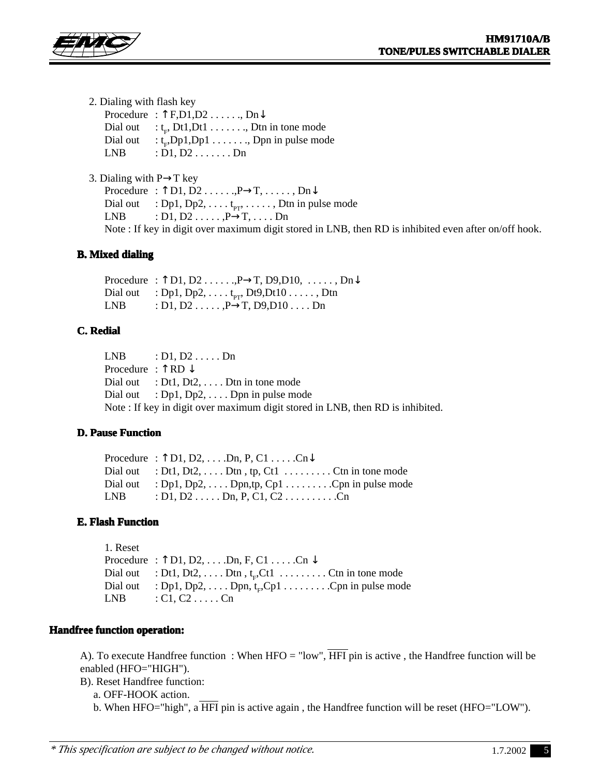

- 2. Dialing with flash key
	- Procedure :  $\uparrow$  F,D1,D2 . . . . . . , Dn $\downarrow$ Dial out  $:t_{\rm m}$ , Dt1, Dt1  $\dots$ , . . . . . . , Dtn in tone mode Dial out<br>LNB  $\therefore$   $\dot{L}_n$ , Dp1, Dp1  $\dots \dots$ , Dpn in pulse mode  $: D1, D2 \ldots$ ......Dn

3. Dialing with  $P \rightarrow T$  key Procedure :  $\uparrow$  D1, D2 . . . . . .,  $P \rightarrow T$ , . . . . . , Dn $\downarrow$ Dial out : Dp1, Dp2, . . . .  $t_{PT}$ , . . . . . , Dtn in pulse mode<br>LNB : D1, D2 . . . . . , P $\rightarrow$ T, . . . . Dn : D1, D2  $\dots$ ,  $P\rightarrow T$ ,  $\dots$ . Dn Note : If key in digit over maximum digit stored in LNB, then RD is inhibited even after on/off hook.

#### **B. Mixed dialing**

Procedure :  $\uparrow$  D1, D2 . . . . . ., P $\rightarrow$ T, D9,D10, . . . . . . , Dn $\downarrow$ Dial out : Dp1, Dp2, . . . . t<sub>pr</sub>, Dt9,Dt10 . . . . . , Dtn<br>LNB : D1, D2 . . . . . , P $\rightarrow$ T, D9,D10 . . . . Dn : D1, D2 . . . . . ,  $P \rightarrow T$ , D9, D10 . . . . Dn

#### **C. Redial**

 $LNB$  :  $D1, D2$  . . . . . Dn Procedure :  $\uparrow$  RD  $\downarrow$ Dial out : Dt1, Dt2, ... . Dtn in tone mode Dial out  $: Dp1, Dp2, \ldots$  Dpn in pulse mode Note : If key in digit over maximum digit stored in LNB, then RD is inhibited.

#### **D. Pause Function**

Procedure :  $\uparrow$  D1, D2, ... .Dn, P, C1 ... . $Cn\downarrow$ Dial out : Dt1, Dt2, ... . Dtn, tp, Ct1  $\dots$  ... ... . . . . Ctn in tone mode Dial out : Dp1, Dp2, . . . . Dpn,tp, Cp1 . . . . . . . . .Cpn in pulse mode  $LNB$  :  $D1, D2$  . . . . . Dn, P, C1, C2 . . . . . . . . . . . . Cn

#### **E. Flash Function**

1. Reset Procedure :  $\uparrow$  D1, D2, . . . .Dn, F, C1 . . . . . . Cn  $\downarrow$ Dial out  $\therefore$  Dt1, Dt2, ... . Dtn, t<sub>F</sub>Ct1 ........... Ctn in tone mode Dial out : Dp1, Dp2, . . . . Dpn, tF ,Cp1 . . . . . . . . .Cpn in pulse mode  $LNB$  :  $C1, C2$  . . . . . . Cn

#### **Handfree function operation: Handfree function operation:**

A). To execute Handfree function : When HFO = "low",  $\overline{HFI}$  pin is active, the Handfree function will be enabled (HFO="HIGH").

B). Reset Handfree function:

a. OFF-HOOK action.

b. When HFO="high", a HFI pin is active again , the Handfree function will be reset (HFO="LOW").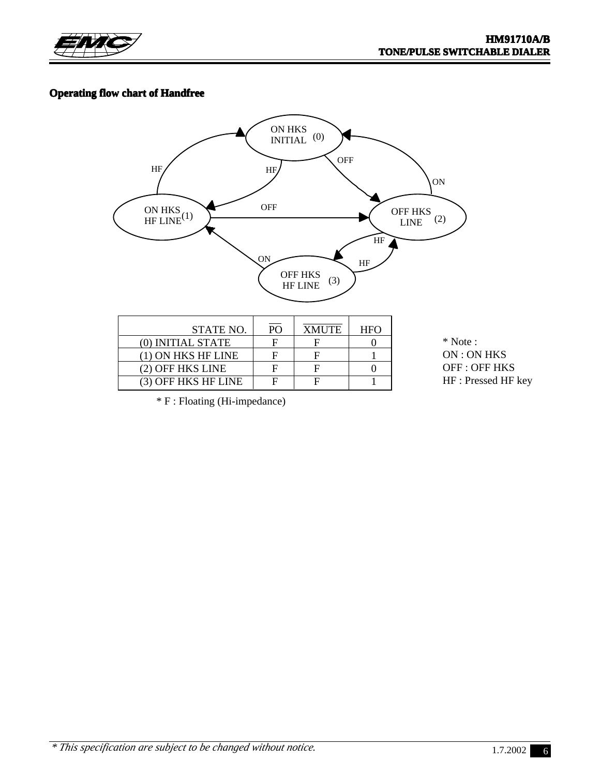

## **Operating flow chart of Handfree**



| STATE NO.           | <b>PO</b> | <b>XMUTE</b> | <b>HFO</b> |
|---------------------|-----------|--------------|------------|
| (0) INITIAL STATE   |           |              |            |
| (1) ON HKS HF LINE  |           |              |            |
| (2) OFF HKS LINE    |           |              |            |
| (3) OFF HKS HF LINE |           |              |            |

\* Note : ON : ON HKS OFF : OFF HKS HF : Pressed HF key

\* F : Floating (Hi-impedance)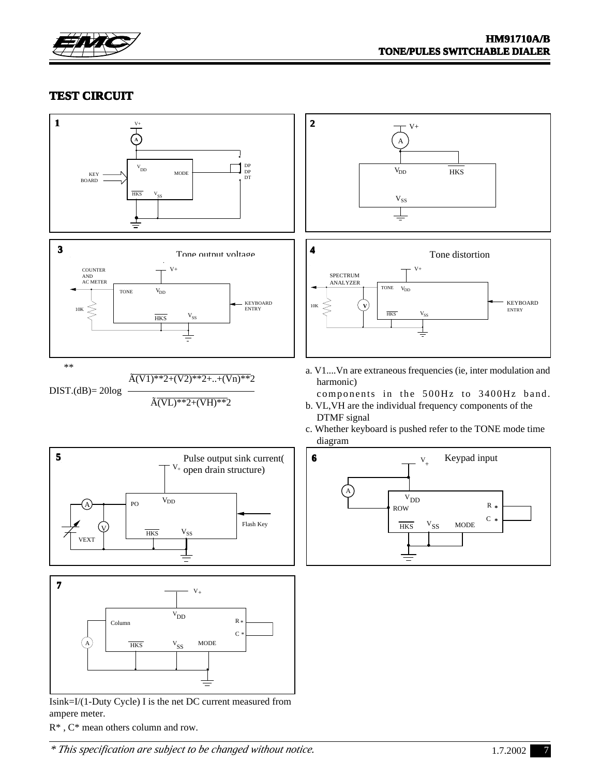

## **TEST CIRCUIT**



ampere meter.

R\* , C\* mean others column and row.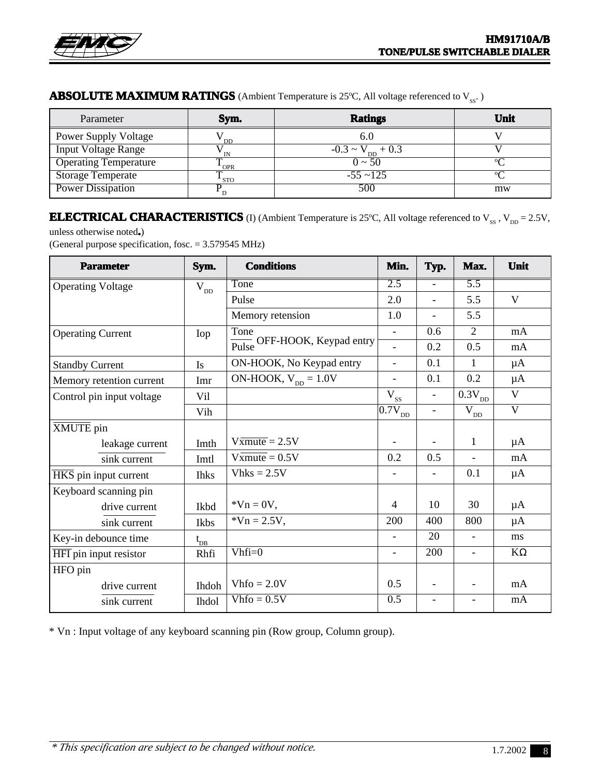

## **ABSOLUTE MAXIMUM RATINGS** (Ambient Temperature is 25°C, All voltage referenced to V<sub>ss</sub>.)

| Parameter                    | Sym.       | <b>Ratings</b>                  | Unit     |
|------------------------------|------------|---------------------------------|----------|
| <b>Power Supply Voltage</b>  | DD         | 6.0                             |          |
| <b>Input Voltage Range</b>   | IN         | $-0.3 \sim V_{\text{DD}} + 0.3$ |          |
| <b>Operating Temperature</b> | <b>OPR</b> | $0 \sim 50$                     | $\alpha$ |
| Storage Temperate            | <b>STO</b> | $-55 \sim 125$                  | $\circ$  |
| <b>Power Dissipation</b>     |            | 500                             | mw       |

# **ELECTRICAL CHARACTERISTICS** (I) (Ambient Temperature is 25°C, All voltage referenced to  $V_{ss}$  ,  $V_{DD} = 2.5V$ ,

unless otherwise noted**.**)

(General purpose specification, fosc. = 3.579545 MHz)

| <b>Parameter</b>          | Sym.                 | <b>Conditions</b>                 | Min.                                          | Typ.                     | Max.                                          | Unit                    |
|---------------------------|----------------------|-----------------------------------|-----------------------------------------------|--------------------------|-----------------------------------------------|-------------------------|
| <b>Operating Voltage</b>  | $\bar{\bar{V}}_{DD}$ | Tone                              | $\overline{2.5}$                              | $\equiv$                 | $\overline{5.5}$                              |                         |
|                           |                      | Pulse                             | 2.0                                           | $\overline{\phantom{a}}$ | 5.5                                           | $\mathbf{V}$            |
|                           |                      | Memory retension                  | 1.0                                           | $\overline{\phantom{a}}$ | 5.5                                           |                         |
| <b>Operating Current</b>  | Iop                  | Tone                              | $\overline{a}$                                | 0.6                      | $\overline{2}$                                | mA                      |
|                           |                      | Pulse OFF-HOOK, Keypad entry      | $\overline{a}$                                | 0.2                      | 0.5                                           | mA                      |
| <b>Standby Current</b>    | Is                   | ON-HOOK, No Keypad entry          | $\overline{\phantom{0}}$                      | 0.1                      | $\mathbf{1}$                                  | $\mu A$                 |
| Memory retention current  | Imr                  | ON-HOOK, $V_{DD} = 1.0V$          |                                               | 0.1                      | 0.2                                           | $\mu A$                 |
| Control pin input voltage | Vil                  |                                   | $\overline{\text{V}}_{\underline{\text{SS}}}$ | $\blacksquare$           | $\overline{0.3V}_{DD}$                        | $\overline{\mathbf{V}}$ |
|                           | Vih                  |                                   | $ \overline{0.7}\mathrm{V}_{\mathrm{DD}}\>$   | $\overline{\phantom{a}}$ | $\overline{\text{V}}_{\underline{\text{DD}}}$ | $\overline{\mathbf{V}}$ |
| XMUTE pin                 |                      |                                   |                                               |                          |                                               |                         |
| leakage current           | Imth                 | $V\overline{\text{xmute}} = 2.5V$ |                                               |                          | $\mathbf{1}$                                  | $\mu A$                 |
| sink current              | Imtl                 | $V \overline{\text{xmu}} = 0.5 V$ | 0.2                                           | 0.5                      | $\overline{\phantom{0}}$                      | mA                      |
| HKS pin input current     | <b>Ihks</b>          | $V$ hks = 2.5V                    |                                               | $\overline{\phantom{a}}$ | 0.1                                           | $\mu A$                 |
| Keyboard scanning pin     |                      |                                   |                                               |                          |                                               |                         |
| drive current             | Ikbd                 | $*Vn = 0V$ ,                      | 4                                             | 10                       | 30                                            | $\mu A$                 |
| sink current              | Ikbs                 | $*Vn = 2.5V,$                     | 200                                           | 400                      | 800                                           | $\mu A$                 |
| Key-in debounce time      | $t_{DB}$             |                                   | $\overline{a}$                                | 20                       | $\overline{\phantom{0}}$                      | ms                      |
| HFI pin input resistor    | Rhfi                 | $Vhfi=0$                          | $\blacksquare$                                | 200                      | $\overline{\phantom{a}}$                      | $K\Omega$               |
| HFO pin                   |                      |                                   |                                               |                          |                                               |                         |
| drive current             | Ihdoh                | $Vhfo = 2.0V$                     | 0.5                                           | $\overline{\phantom{a}}$ |                                               | mA                      |
| sink current              | <b>Ihdol</b>         | $Vhfo = 0.5V$                     | 0.5                                           | $\overline{\phantom{a}}$ |                                               | mA                      |

\* Vn : Input voltage of any keyboard scanning pin (Row group, Column group).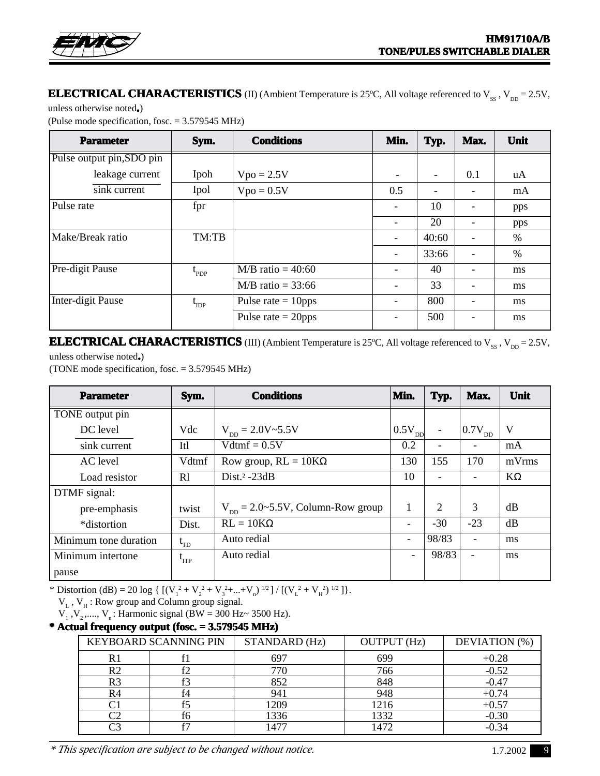## **ELECTRICAL CHARACTERISTICS** (II) (Ambient Temperature is 25°C, All voltage referenced to  $V_{ss}$  ,  $V_{DD} = 2.5V$ ,

unless otherwise noted**.**)

(Pulse mode specification, fosc. = 3.579545 MHz)

| <b>Parameter</b>          | Sym.             | <b>Conditions</b>            | Min.                     | Typ.                     | Max.            | Unit |
|---------------------------|------------------|------------------------------|--------------------------|--------------------------|-----------------|------|
| Pulse output pin, SDO pin |                  |                              |                          |                          |                 |      |
| leakage current           | Ipoh             | $Vpo = 2.5V$                 |                          | $\overline{\phantom{a}}$ | 0.1             | uA   |
| sink current              | Ipol             | $Vpo = 0.5V$                 | 0.5                      | $\overline{\phantom{a}}$ |                 | mA   |
| Pulse rate                | fpr              |                              |                          | 10                       |                 | pps  |
|                           |                  |                              |                          | 20                       | $\qquad \qquad$ | pps  |
| Make/Break ratio          | TM:TB            |                              | $\overline{\phantom{a}}$ | 40:60                    |                 | %    |
|                           |                  |                              | $\overline{\phantom{0}}$ | 33:66                    |                 | $\%$ |
| Pre-digit Pause           | $t_{\text{PDP}}$ | $M/B$ ratio = 40:60          |                          | 40                       |                 | ms   |
|                           |                  | $M/B$ ratio = 33:66          |                          | 33                       |                 | ms   |
| Inter-digit Pause         | $t_{\text{IDP}}$ | Pulse rate $= 10 \text{pps}$ |                          | 800                      |                 | ms   |
|                           |                  | Pulse rate $= 20 \text{pps}$ |                          | 500                      |                 | ms   |

**ELECTRICAL CHARACTERISTICS** (III) (Ambient Temperature is 25°C, All voltage referenced to  $V_{SS}$  ,  $V_{DD} = 2.5V$ ,

unless otherwise noted**.**) (TONE mode specification, fosc. = 3.579545 MHz)

| <b>Parameter</b>      | Sym.                               | <b>Conditions</b>                                   | Min.                     | Typ.                     | Max.                     | Unit      |
|-----------------------|------------------------------------|-----------------------------------------------------|--------------------------|--------------------------|--------------------------|-----------|
| TONE output pin       |                                    |                                                     |                          |                          |                          |           |
| DC level              | Vdc                                | $V_{\text{DD}} = 2.0 V \approx 5.5 V$               | $0.5V_{DD}$              | $\overline{\phantom{a}}$ | $10.7V_{DD}$             | V         |
| sink current          | Itl                                | $Vdtmf = 0.5V$                                      | 0.2                      | $\overline{\phantom{a}}$ | Ξ.                       | mA        |
| AC level              | Vdtmf                              | Row group, $RL = 10K\Omega$                         | 130                      | 155                      | 170                      | mVrms     |
| Load resistor         | R1                                 | Dist. $2 - 23dB$                                    | 10                       | $\overline{\phantom{a}}$ | ۰                        | $K\Omega$ |
| DTMF signal:          |                                    |                                                     |                          |                          |                          |           |
| pre-emphasis          | twist                              | $V_{\text{DD}} = 2.0 \div 5.5 V$ , Column-Row group | 1                        | 2                        | 3                        | dB        |
| *distortion           | Dist.                              | $RL = 10K\Omega$                                    |                          | $-30$                    | $-23$                    | dB        |
| Minimum tone duration | $t_{\text{TD}}$                    | Auto redial                                         | $\overline{\phantom{a}}$ | 98/83                    | $\blacksquare$           | ms        |
| Minimum intertone     | $\mathfrak{t}_{\text{\tiny{ITP}}}$ | Auto redial                                         | ۰                        | 98/83                    | $\overline{\phantom{a}}$ | ms        |
| pause                 |                                    |                                                     |                          |                          |                          |           |

\* Distortion (dB) = 20 log {  $[(V_1^2 + V_2^2 + V_3^2 + ... + V_n^2)^{1/2}] / [(V_L^2 + V_H^2)^{1/2}]$  }.

 $V_{L}$ ,  $V_{H}$ : Row group and Column group signal.

 $V_1$ ,  $V_2$ ,....,  $V_n$ : Harmonic signal (BW = 300 Hz $\sim$  3500 Hz).

#### **\* Actual frequency output (fosc. = 3.579545 MHz) \* Actual frequency (fosc. =**

|    | KEYBOARD SCANNING PIN | STANDARD (Hz) | <b>OUTPUT</b> (Hz) | DEVIATION (%) |  |
|----|-----------------------|---------------|--------------------|---------------|--|
|    |                       |               | 699                | $+0.28$       |  |
| R٦ |                       | 770           | 766                | $-0.52$       |  |
| D۹ |                       | 852           | 848                | $-0.47$       |  |
|    |                       | 94            | 948                | $+0.74$       |  |
|    |                       | 209           | 216                | $+0.57$       |  |
|    |                       | 1336          | 1332               | $-0.30$       |  |
|    |                       |               | 1472               |               |  |

*\* This specification are subject to be changed without notice.* 1.7.2002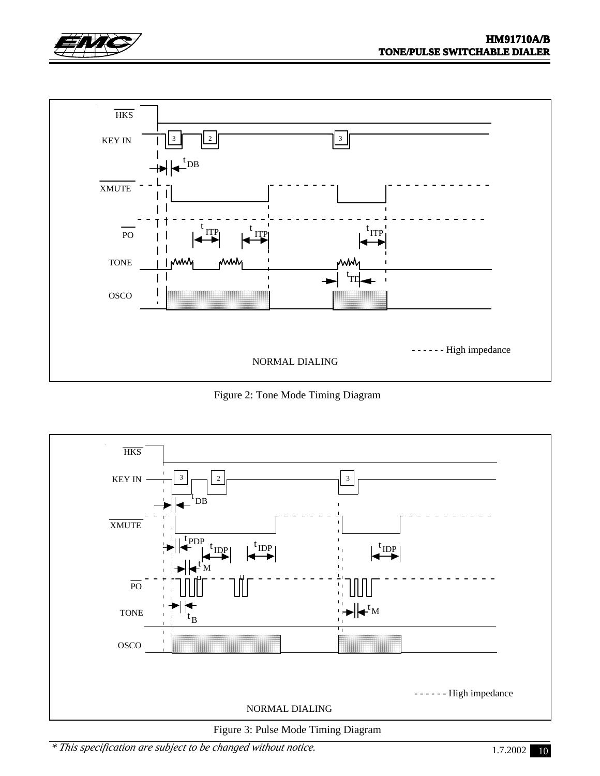



Figure 2: Tone Mode Timing Diagram



Figure 3: Pulse Mode Timing Diagram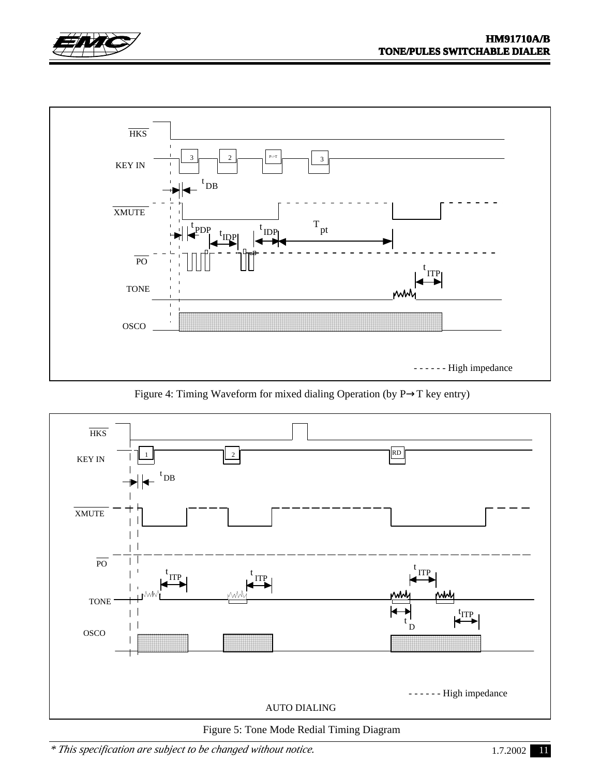



Figure 4: Timing Waveform for mixed dialing Operation (by P→T key entry)



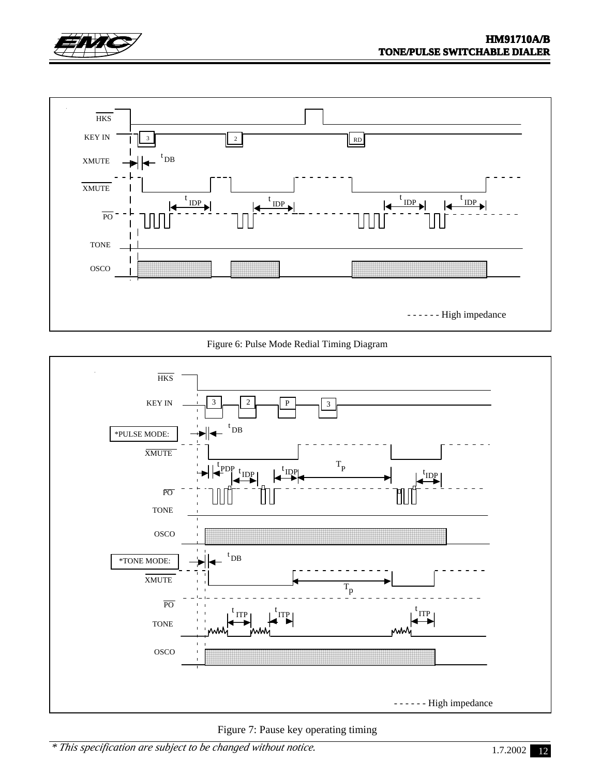



Figure 6: Pulse Mode Redial Timing Diagram



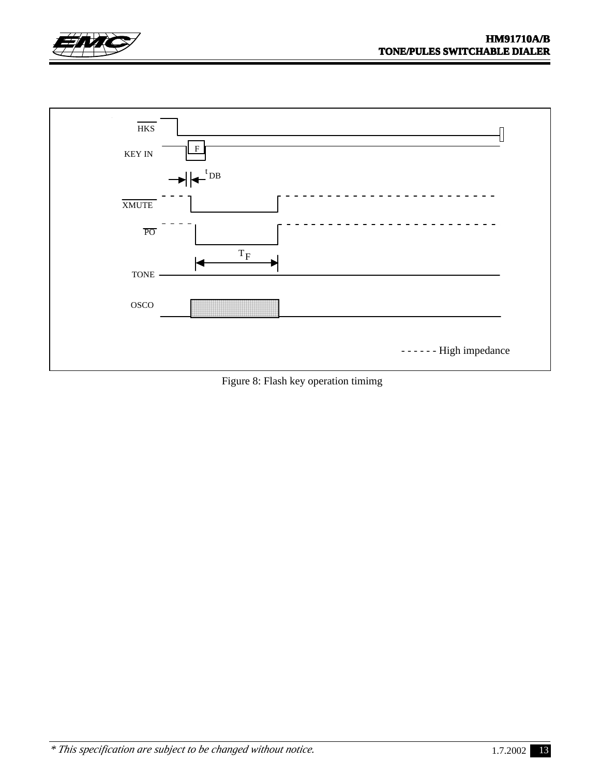



Figure 8: Flash key operation timimg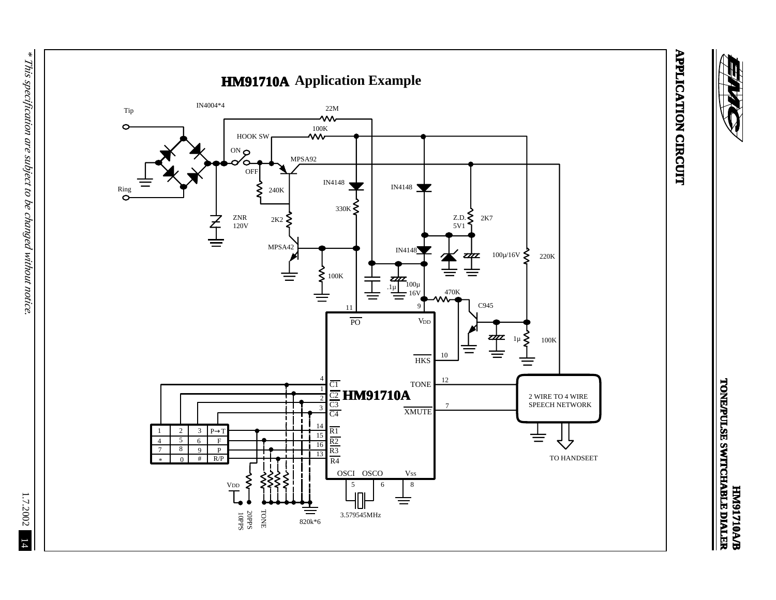

1.7.2002 14

 $14$ 

1.7.2002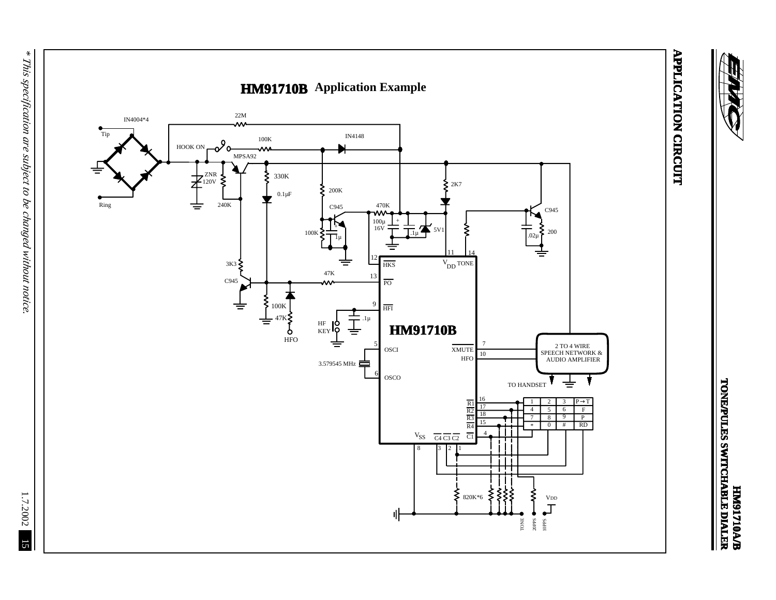

**APPLICATION CIRCUIT APPLICATION CIRCUIT**

**HM91710A/B**

**TONE/PULES SWITCHABLE DIALER**

**ANTIANI ALAMAN SALUTANOTI<br>ANDILIES SWITCHABLE DIALER** 

 $*$  This specification are subject to be changed without notice. *\* This specification are subject to be changed without notice.*

15 1.7.2002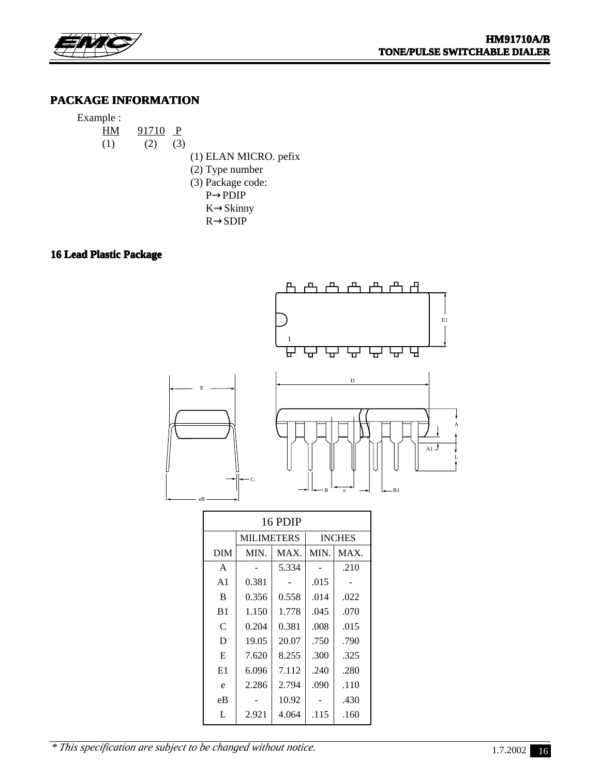

## **PACKAGE INFORMATION**

| Example : |     |       |              |                         |
|-----------|-----|-------|--------------|-------------------------|
|           | HМ  | 91710 | $\mathbf{P}$ |                         |
|           | (1) | (2)   | (3)          |                         |
|           |     |       |              | (1) ELAN MICRO. pefix   |
|           |     |       |              | $(2)$ Type number       |
|           |     |       |              | (3) Package code:       |
|           |     |       |              | $P \rightarrow P D I P$ |
|           |     |       |              | $K \rightarrow$ Skinny  |
|           |     |       |              | $R \rightarrow SDIP$    |

#### **16 Lead Plastic Package**



| 16 PDIP        |                   |       |               |      |  |  |  |  |  |  |
|----------------|-------------------|-------|---------------|------|--|--|--|--|--|--|
|                | <b>MILIMETERS</b> |       | <b>INCHES</b> |      |  |  |  |  |  |  |
| <b>DIM</b>     | MIN.              | MAX.  | MIN.          | MAX. |  |  |  |  |  |  |
| A              |                   | 5.334 |               | .210 |  |  |  |  |  |  |
| A1             | 0.381             |       | .015          |      |  |  |  |  |  |  |
| B              | 0.356             | 0.558 | .014          | .022 |  |  |  |  |  |  |
| B <sub>1</sub> | 1.150             | 1.778 | .045          | .070 |  |  |  |  |  |  |
| C              | 0.204             | 0.381 | .008          | .015 |  |  |  |  |  |  |
| D              | 19.05             | 20.07 | .750          | .790 |  |  |  |  |  |  |
| E              | 7.620             | 8.255 | .300          | .325 |  |  |  |  |  |  |
| E1             | 6.096             | 7.112 | .240          | .280 |  |  |  |  |  |  |
| e              | 2.286             | 2.794 | .090          | .110 |  |  |  |  |  |  |
| eB             |                   | 10.92 |               | .430 |  |  |  |  |  |  |
| L              | 2.921             | 4.064 | .115          | .160 |  |  |  |  |  |  |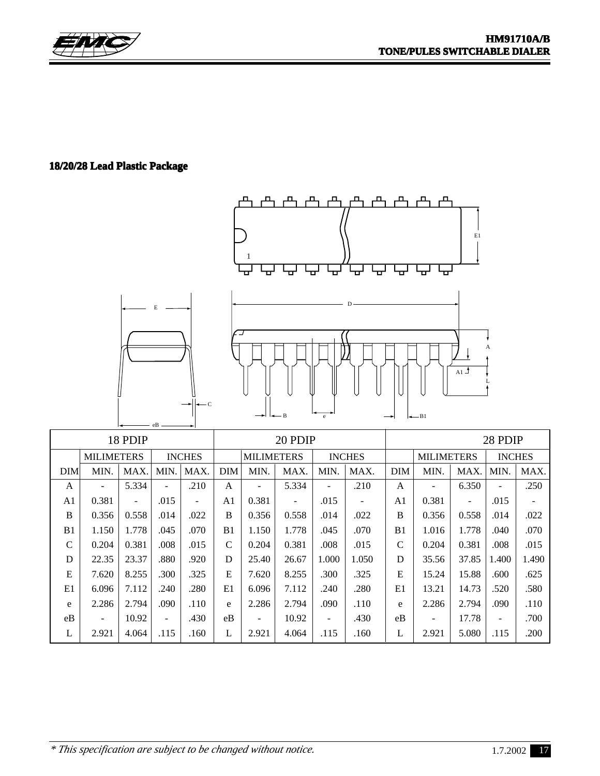

## **18/20/28 Lead Plastic Package**



| 18 PDIP |                                    |                          |                |                                    | 20 PDIP        |                          |                          |                   |                          | 28 PDIP        |       |                |       |       |
|---------|------------------------------------|--------------------------|----------------|------------------------------------|----------------|--------------------------|--------------------------|-------------------|--------------------------|----------------|-------|----------------|-------|-------|
|         | <b>MILIMETERS</b><br><b>INCHES</b> |                          |                | <b>INCHES</b><br><b>MILIMETERS</b> |                |                          |                          | <b>MILIMETERS</b> |                          | <b>INCHES</b>  |       |                |       |       |
| DIM     | MIN.                               | MAX.                     | MIN.           | MAX.                               | <b>DIM</b>     | MIN.                     | MAX.                     | MIN.              | MAX.                     | <b>DIM</b>     | MIN.  | MAX.           | MIN.  | MAX.  |
| A       | ۰                                  | 5.334                    | $\blacksquare$ | .210                               | A              | $\overline{\phantom{a}}$ | 5.334                    | $\blacksquare$    | .210                     | A              | ۰     | 6.350          |       | .250  |
| A1      | 0.381                              | $\overline{\phantom{0}}$ | .015           | $\overline{\phantom{a}}$           | A <sub>1</sub> | 0.381                    | $\overline{\phantom{a}}$ | .015              | $\overline{\phantom{a}}$ | A <sub>1</sub> | 0.381 | $\blacksquare$ | .015  | ٠     |
| B       | 0.356                              | 0.558                    | .014           | .022                               | B              | 0.356                    | 0.558                    | .014              | .022                     | B              | 0.356 | 0.558          | .014  | .022  |
| B1      | 1.150                              | 1.778                    | .045           | .070                               | B <sub>1</sub> | 1.150                    | 1.778                    | .045              | .070                     | B <sub>1</sub> | 1.016 | 1.778          | .040  | .070  |
| C       | 0.204                              | 0.381                    | .008           | .015                               | C              | 0.204                    | 0.381                    | .008              | .015                     | $\mathcal{C}$  | 0.204 | 0.381          | .008  | .015  |
| D       | 22.35                              | 23.37                    | .880           | .920                               | D              | 25.40                    | 26.67                    | 1.000             | 1.050                    | D              | 35.56 | 37.85          | 1.400 | 1.490 |
| E       | 7.620                              | 8.255                    | .300           | .325                               | E              | 7.620                    | 8.255                    | .300              | .325                     | E              | 15.24 | 15.88          | .600  | .625  |
| E1      | 6.096                              | 7.112                    | .240           | .280                               | E1             | 6.096                    | 7.112                    | .240              | .280                     | E1             | 13.21 | 14.73          | .520  | .580  |
| e       | 2.286                              | 2.794                    | .090           | .110                               | $\mathbf{e}$   | 2.286                    | 2.794                    | .090              | .110                     | e              | 2.286 | 2.794          | .090  | .110  |
| eB      | ۰                                  | 10.92                    | ۰              | .430                               | eB             | $\blacksquare$           | 10.92                    | $\blacksquare$    | .430                     | eB             | ۰     | 17.78          |       | .700  |
| L       | 2.921                              | 4.064                    | .115           | .160                               | L              | 2.921                    | 4.064                    | .115              | .160                     | L              | 2.921 | 5.080          | .115  | .200  |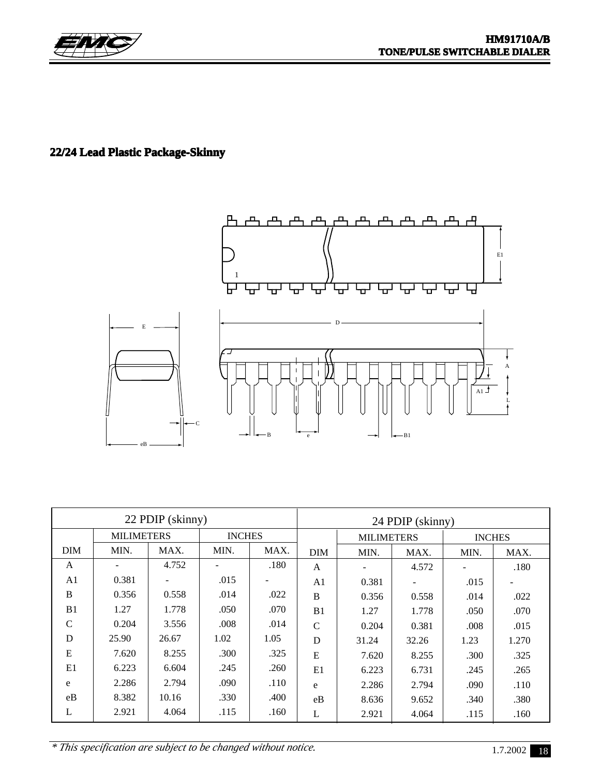

## **22/24 Lead Plastic Package-Skinny**



| 22 PDIP (skinny) |                   |       |      |               |                | 24 PDIP (skinny)  |                          |               |       |  |
|------------------|-------------------|-------|------|---------------|----------------|-------------------|--------------------------|---------------|-------|--|
|                  | <b>MILIMETERS</b> |       |      | <b>INCHES</b> |                | <b>MILIMETERS</b> |                          | <b>INCHES</b> |       |  |
| DIM              | MIN.              | MAX.  | MIN. | MAX.          | <b>DIM</b>     | MIN.              | MAX.                     | MIN.          | MAX.  |  |
| A                |                   | 4.752 |      | .180          | A              |                   | 4.572                    |               | .180  |  |
| A <sub>1</sub>   | 0.381             |       | .015 |               | A <sub>1</sub> | 0.381             | $\overline{\phantom{a}}$ | .015          |       |  |
| B                | 0.356             | 0.558 | .014 | .022          | <sub>B</sub>   | 0.356             | 0.558                    | .014          | .022  |  |
| B1               | 1.27              | 1.778 | .050 | .070          | B1             | 1.27              | 1.778                    | .050          | .070  |  |
| $\mathbf C$      | 0.204             | 3.556 | .008 | .014          | $\mathcal{C}$  | 0.204             | 0.381                    | .008          | .015  |  |
| D                | 25.90             | 26.67 | 1.02 | 1.05          | D              | 31.24             | 32.26                    | 1.23          | 1.270 |  |
| E                | 7.620             | 8.255 | .300 | .325          | E              | 7.620             | 8.255                    | .300          | .325  |  |
| E1               | 6.223             | 6.604 | .245 | .260          | E1             | 6.223             | 6.731                    | .245          | .265  |  |
| e                | 2.286             | 2.794 | .090 | .110          | e              | 2.286             | 2.794                    | .090          | .110  |  |
| eB               | 8.382             | 10.16 | .330 | .400          | eB             | 8.636             | 9.652                    | .340          | .380  |  |
| L                | 2.921             | 4.064 | .115 | .160          | L              | 2.921             | 4.064                    | .115          | .160  |  |

*\* This specification are subject to be changed without notice.*